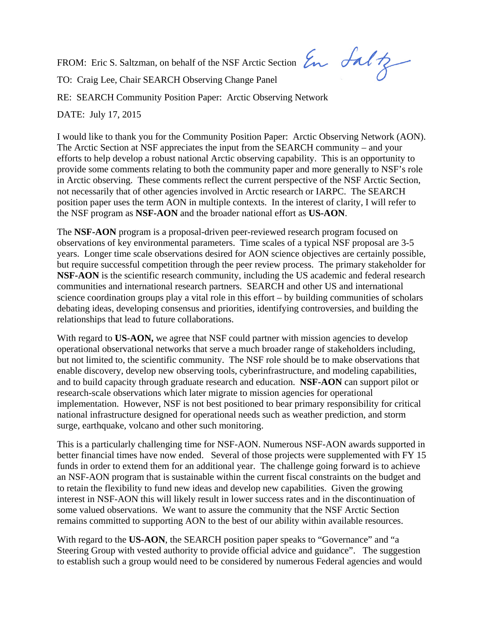FROM: Eric S. Saltzman, on behalf of the NSF Arctic Section  $\mathcal{E}_{n}$  of  $\mathcal{E}_{n}$ 

TO: Craig Lee, Chair SEARCH Observing Change Panel

RE: SEARCH Community Position Paper: Arctic Observing Network

DATE: July 17, 2015

I would like to thank you for the Community Position Paper: Arctic Observing Network (AON). The Arctic Section at NSF appreciates the input from the SEARCH community – and your efforts to help develop a robust national Arctic observing capability. This is an opportunity to provide some comments relating to both the community paper and more generally to NSF's role in Arctic observing. These comments reflect the current perspective of the NSF Arctic Section, not necessarily that of other agencies involved in Arctic research or IARPC. The SEARCH position paper uses the term AON in multiple contexts. In the interest of clarity, I will refer to the NSF program as **NSF-AON** and the broader national effort as **US-AON**.

The **NSF-AON** program is a proposal-driven peer-reviewed research program focused on observations of key environmental parameters. Time scales of a typical NSF proposal are 3-5 years. Longer time scale observations desired for AON science objectives are certainly possible, but require successful competition through the peer review process. The primary stakeholder for **NSF-AON** is the scientific research community, including the US academic and federal research communities and international research partners. SEARCH and other US and international science coordination groups play a vital role in this effort – by building communities of scholars debating ideas, developing consensus and priorities, identifying controversies, and building the relationships that lead to future collaborations.

With regard to **US-AON**, we agree that NSF could partner with mission agencies to develop operational observational networks that serve a much broader range of stakeholders including, but not limited to, the scientific community. The NSF role should be to make observations that enable discovery, develop new observing tools, cyberinfrastructure, and modeling capabilities, and to build capacity through graduate research and education. **NSF-AON** can support pilot or research-scale observations which later migrate to mission agencies for operational implementation. However, NSF is not best positioned to bear primary responsibility for critical national infrastructure designed for operational needs such as weather prediction, and storm surge, earthquake, volcano and other such monitoring.

This is a particularly challenging time for NSF-AON. Numerous NSF-AON awards supported in better financial times have now ended. Several of those projects were supplemented with FY 15 funds in order to extend them for an additional year. The challenge going forward is to achieve an NSF-AON program that is sustainable within the current fiscal constraints on the budget and to retain the flexibility to fund new ideas and develop new capabilities. Given the growing interest in NSF-AON this will likely result in lower success rates and in the discontinuation of some valued observations. We want to assure the community that the NSF Arctic Section remains committed to supporting AON to the best of our ability within available resources.

With regard to the **US-AON**, the SEARCH position paper speaks to "Governance" and "a Steering Group with vested authority to provide official advice and guidance". The suggestion to establish such a group would need to be considered by numerous Federal agencies and would